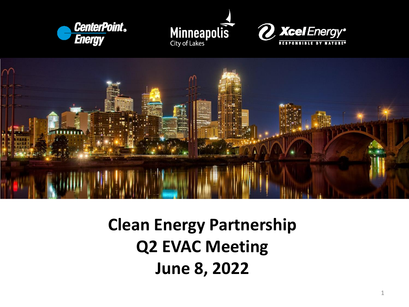







# **Clean Energy Partnership Q2 EVAC Meeting June 8, 2022**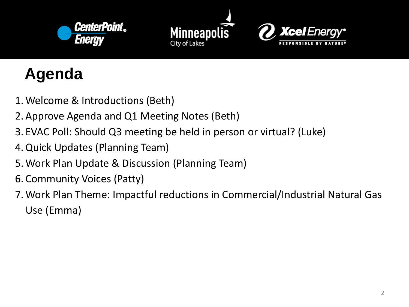





# **Agenda**

- 1.Welcome & Introductions (Beth)
- 2.Approve Agenda and Q1 Meeting Notes (Beth)
- 3. EVAC Poll: Should Q3 meeting be held in person or virtual? (Luke)
- 4.Quick Updates (Planning Team)
- 5.Work Plan Update & Discussion (Planning Team)
- 6. Community Voices (Patty)
- 7.Work Plan Theme: Impactful reductions in Commercial/Industrial Natural Gas Use (Emma)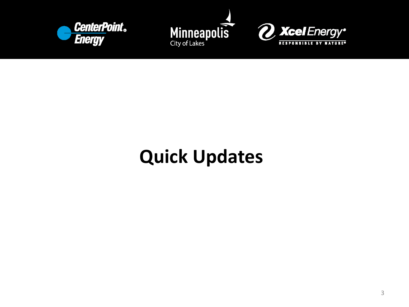





# **Quick Updates**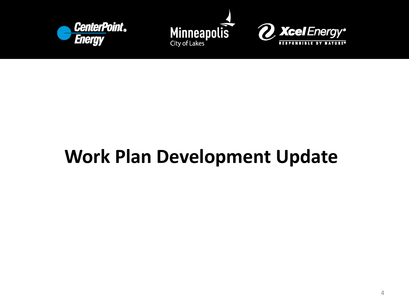





# **Work Plan Development Update**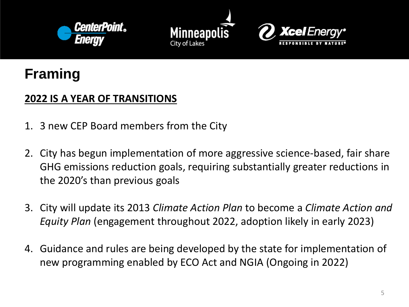





## **Framing**

#### **2022 IS A YEAR OF TRANSITIONS**

- 1. 3 new CEP Board members from the City
- 2. City has begun implementation of more aggressive science-based, fair share GHG emissions reduction goals, requiring substantially greater reductions in the 2020's than previous goals
- 3. City will update its 2013 *Climate Action Plan* to become a *Climate Action and Equity Plan* (engagement throughout 2022, adoption likely in early 2023)
- 4. Guidance and rules are being developed by the state for implementation of new programming enabled by ECO Act and NGIA (Ongoing in 2022)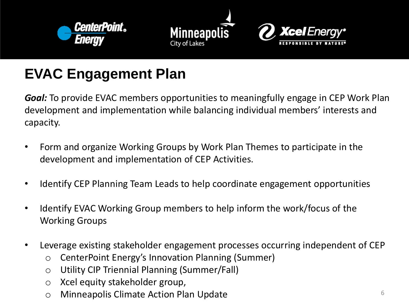





# **EVAC Engagement Plan**

*Goal:* To provide EVAC members opportunities to meaningfully engage in CEP Work Plan development and implementation while balancing individual members' interests and capacity.

- Form and organize Working Groups by Work Plan Themes to participate in the development and implementation of CEP Activities.
- Identify CEP Planning Team Leads to help coordinate engagement opportunities
- Identify EVAC Working Group members to help inform the work/focus of the Working Groups
- Leverage existing stakeholder engagement processes occurring independent of CEP
	- o CenterPoint Energy's Innovation Planning (Summer)
	- o Utility CIP Triennial Planning (Summer/Fall)
	- o Xcel equity stakeholder group,
	- o Minneapolis Climate Action Plan Update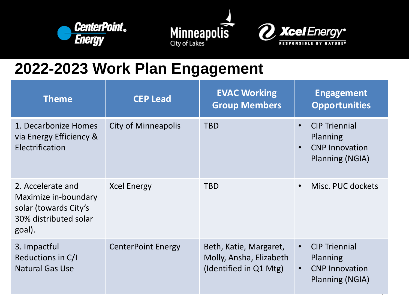





# **2022-2023 Work Plan Engagement**

| <b>Theme</b>                                                                                          | <b>CEP Lead</b>            | <b>EVAC Working</b><br><b>Group Members</b>                                 |                        | <b>Engagement</b><br><b>Opportunities</b>                                    |
|-------------------------------------------------------------------------------------------------------|----------------------------|-----------------------------------------------------------------------------|------------------------|------------------------------------------------------------------------------|
| 1. Decarbonize Homes<br>via Energy Efficiency &<br>Electrification                                    | <b>City of Minneapolis</b> | <b>TBD</b>                                                                  | $\bullet$<br>$\bullet$ | <b>CIP Triennial</b><br>Planning<br><b>CNP Innovation</b><br>Planning (NGIA) |
| 2. Accelerate and<br>Maximize in-boundary<br>solar (towards City's<br>30% distributed solar<br>goal). | <b>Xcel Energy</b>         | <b>TBD</b>                                                                  | $\bullet$              | Misc. PUC dockets                                                            |
| 3. Impactful<br>Reductions in C/I<br><b>Natural Gas Use</b>                                           | <b>CenterPoint Energy</b>  | Beth, Katie, Margaret,<br>Molly, Ansha, Elizabeth<br>(Identified in Q1 Mtg) | $\bullet$<br>$\bullet$ | <b>CIP Triennial</b><br>Planning<br><b>CNP Innovation</b><br>Planning (NGIA) |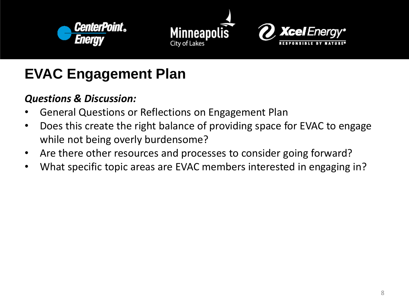





# **EVAC Engagement Plan**

### *Questions & Discussion:*

- General Questions or Reflections on Engagement Plan
- Does this create the right balance of providing space for EVAC to engage while not being overly burdensome?
- Are there other resources and processes to consider going forward?
- What specific topic areas are EVAC members interested in engaging in?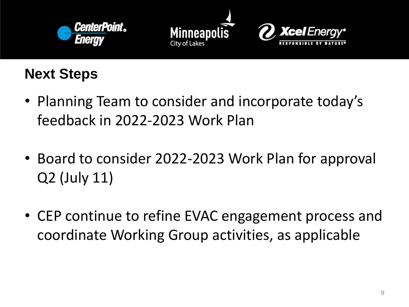





## **Next Steps**

- Planning Team to consider and incorporate today's feedback in 2022-2023 Work Plan
- Board to consider 2022-2023 Work Plan for approval Q2 (July 11)
- CEP continue to refine EVAC engagement process and coordinate Working Group activities, as applicable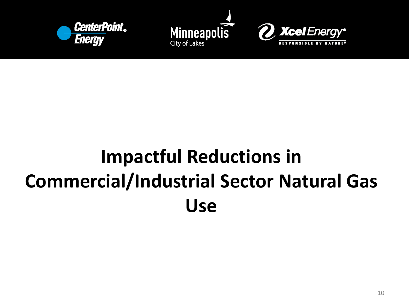





# **Impactful Reductions in Commercial/Industrial Sector Natural Gas Use**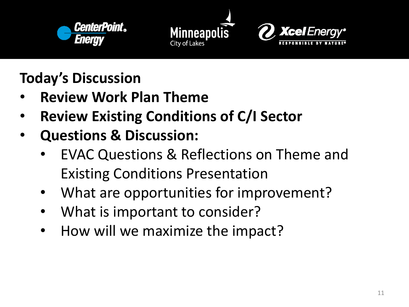





**Today's Discussion**

- **Review Work Plan Theme**
- **Review Existing Conditions of C/I Sector**
- **Questions & Discussion:**
	- EVAC Questions & Reflections on Theme and Existing Conditions Presentation
	- What are opportunities for improvement?
	- What is important to consider?
	- How will we maximize the impact?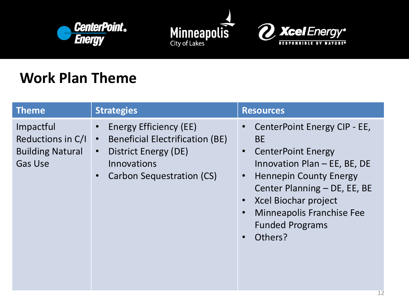





## **Work Plan Theme**

| <b>Theme</b>                                                                | <b>Strategies</b>                                                                                                                                                     | <b>Resources</b>                                                                                                                                                                                                                                                                      |
|-----------------------------------------------------------------------------|-----------------------------------------------------------------------------------------------------------------------------------------------------------------------|---------------------------------------------------------------------------------------------------------------------------------------------------------------------------------------------------------------------------------------------------------------------------------------|
| Impactful<br>Reductions in C/I<br><b>Building Natural</b><br><b>Gas Use</b> | <b>Energy Efficiency (EE)</b><br><b>Beneficial Electrification (BE)</b><br>$\bullet$<br>District Energy (DE)<br>$\bullet$<br>Innovations<br>Carbon Sequestration (CS) | CenterPoint Energy CIP - EE,<br><b>BE</b><br><b>CenterPoint Energy</b><br>Innovation Plan - EE, BE, DE<br><b>Hennepin County Energy</b><br>$\bullet$<br>Center Planning - DE, EE, BE<br>Xcel Biochar project<br><b>Minneapolis Franchise Fee</b><br><b>Funded Programs</b><br>Others? |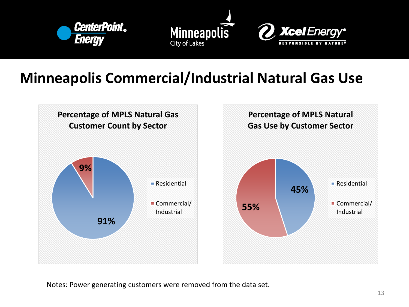





## **Minneapolis Commercial/Industrial Natural Gas Use**



Notes: Power generating customers were removed from the data set.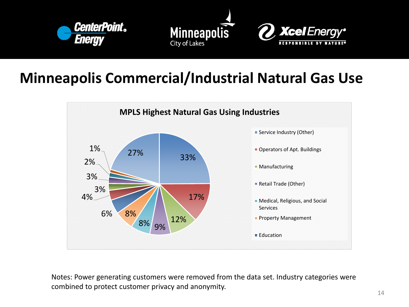



### **Minneapolis Commercial/Industrial Natural Gas Use**



Notes: Power generating customers were removed from the data set. Industry categories were combined to protect customer privacy and anonymity.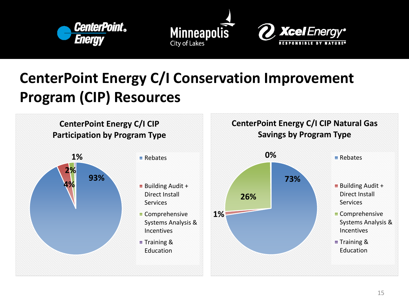



# **CenterPoint Energy C/I Conservation Improvement Program (CIP) Resources**

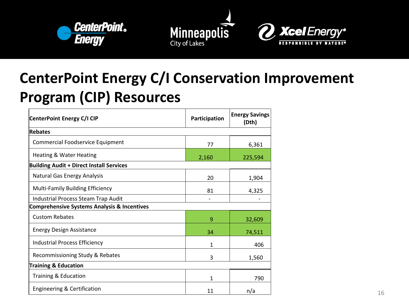



# **CenterPoint Energy C/I Conservation Improvement Program (CIP) Resources**

| CenterPoint Energy C/I CIP                             | Participation | <b>Energy Savings</b><br>(Dth) |
|--------------------------------------------------------|---------------|--------------------------------|
| <b>Rebates</b>                                         |               |                                |
| <b>Commercial Foodservice Equipment</b>                | 77            | 6,361                          |
| <b>Heating &amp; Water Heating</b>                     | 2,160         | 225,594                        |
| <b>Building Audit + Direct Install Services</b>        |               |                                |
| <b>Natural Gas Energy Analysis</b>                     | 20            | 1,904                          |
| <b>Multi-Family Building Efficiency</b>                | 81            | 4,325                          |
| Industrial Process Steam Trap Audit                    |               |                                |
| <b>Comprehensive Systems Analysis &amp; Incentives</b> |               |                                |
| <b>Custom Rebates</b>                                  | 9             | 32,609                         |
| <b>Energy Design Assistance</b>                        | 34            | 74,511                         |
| <b>Industrial Process Efficiency</b>                   | $\mathbf{1}$  | 406                            |
| Recommissioning Study & Rebates                        | 3             | 1,560                          |
| <b>Training &amp; Education</b>                        |               |                                |
| Training & Education                                   | 1             | 790                            |
| Engineering & Certification                            | 11            | n/a                            |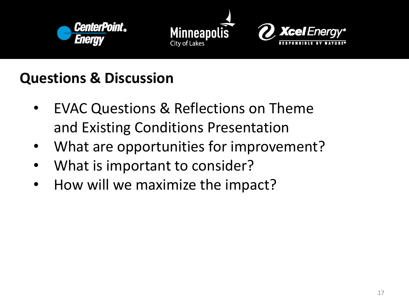





## **Questions & Discussion**

- EVAC Questions & Reflections on Theme and Existing Conditions Presentation
- What are opportunities for improvement?
- What is important to consider?
- How will we maximize the impact?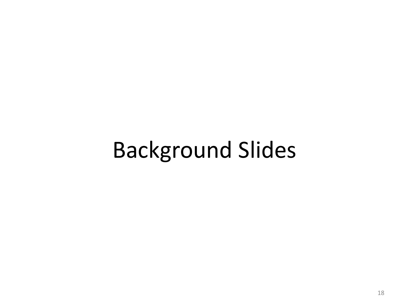# Background Slides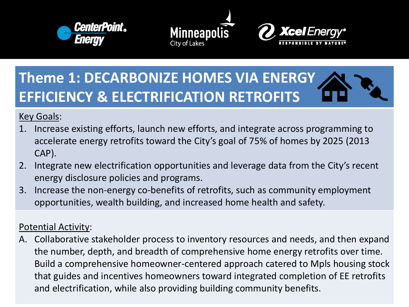





# **Theme 1: DECARBONIZE HOMES VIA ENERGY EFFICIENCY & ELECTRIFICATION RETROFITS**

Key Goals:

- 1. Increase existing efforts, launch new efforts, and integrate across programming to accelerate energy retrofits toward the City's goal of 75% of homes by 2025 (2013 CAP).
- 2. Integrate new electrification opportunities and leverage data from the City's recent energy disclosure policies and programs.
- 3. Increase the non-energy co-benefits of retrofits, such as community employment opportunities, wealth building, and increased home health and safety.

#### Potential Activity:

A. Collaborative stakeholder process to inventory resources and needs, and then expand the number, depth, and breadth of comprehensive home energy retrofits over time. Build a comprehensive homeowner-centered approach catered to Mpls housing stock that guides and incentives homeowners toward integrated completion of EE retrofits and electrification, while also providing building community benefits.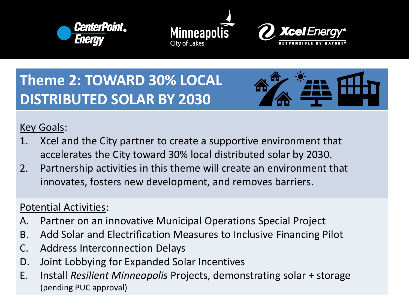





# **Theme 2: TOWARD 30% LOCAL DISTRIBUTED SOLAR BY 2030**



#### Key Goals:

- 1. Xcel and the City partner to create a supportive environment that accelerates the City toward 30% local distributed solar by 2030.
- 2. Partnership activities in this theme will create an environment that innovates, fosters new development, and removes barriers.

#### Potential Activities:

- A. Partner on an innovative Municipal Operations Special Project
- B. Add Solar and Electrification Measures to Inclusive Financing Pilot
- C. Address Interconnection Delays
- D. Joint Lobbying for Expanded Solar Incentives
- E. Install *Resilient Minneapolis* Projects, demonstrating solar + storage (pending PUC approval)